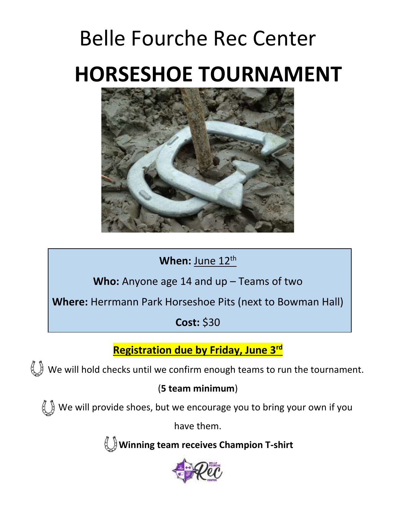# Belle Fourche Rec Center  **HORSESHOE TOURNAMENT**



### When: June 12<sup>th</sup>

**Who:** Anyone age 14 and up – Teams of two

**Where:** Herrmann Park Horseshoe Pits (next to Bowman Hall)

**Cost:** \$30

**Registration due by Friday, June 3rd**

 $\mathbb{U}$  We will hold checks until we confirm enough teams to run the tournament.

### (**5 team minimum**)

 $\left\{\bigcup\right\}$  We will provide shoes, but we encourage you to bring your own if you

have them.

**Winning team receives Champion T-shirt**

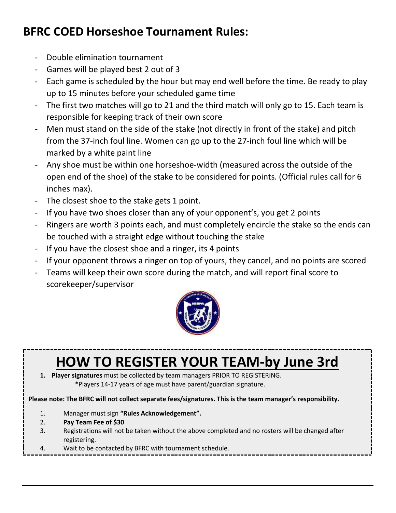## **BFRC COED Horseshoe Tournament Rules:**

- Double elimination tournament
- Games will be played best 2 out of 3
- Each game is scheduled by the hour but may end well before the time. Be ready to play up to 15 minutes before your scheduled game time
- The first two matches will go to 21 and the third match will only go to 15. Each team is responsible for keeping track of their own score
- Men must stand on the side of the stake (not directly in front of the stake) and pitch from the 37-inch foul line. Women can go up to the 27-inch foul line which will be marked by a white paint line
- Any shoe must be within one horseshoe-width (measured across the outside of the open end of the shoe) of the stake to be considered for points. (Official rules call for 6 inches max).
- The closest shoe to the stake gets 1 point.
- If you have two shoes closer than any of your opponent's, you get 2 points
- Ringers are worth 3 points each, and must completely encircle the stake so the ends can be touched with a straight edge without touching the stake
- If you have the closest shoe and a ringer, its 4 points
- If your opponent throws a ringer on top of yours, they cancel, and no points are scored
- Teams will keep their own score during the match, and will report final score to scorekeeper/supervisor



# **HOW TO REGISTER YOUR TEAM-by June 3rd**

**1. Player signatures** must be collected by team managers PRIOR TO REGISTERING. \*Players 14-17 years of age must have parent/guardian signature.

**Please note: The BFRC will not collect separate fees/signatures. This is the team manager's responsibility.**

- 1. Manager must sign **"Rules Acknowledgement".**
- 2. **Pay Team Fee of \$30**
- 3. Registrations will not be taken without the above completed and no rosters will be changed after registering.

4. Wait to be contacted by BFRC with tournament schedule.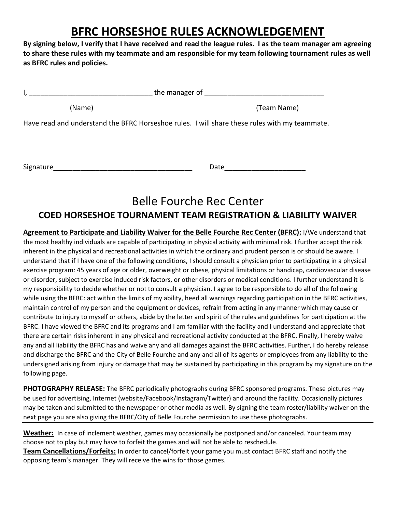### **BFRC HORSESHOE RULES ACKNOWLEDGEMENT**

**By signing below, I verify that I have received and read the league rules. I as the team manager am agreeing to share these rules with my teammate and am responsible for my team following tournament rules as well as BFRC rules and policies.**

|           | the manager of                                                                                |  |  |  |
|-----------|-----------------------------------------------------------------------------------------------|--|--|--|
| (Name)    | (Team Name)                                                                                   |  |  |  |
|           | Have read and understand the BFRC Horseshoe rules. I will share these rules with my teammate. |  |  |  |
| Signature | Date                                                                                          |  |  |  |

### Belle Fourche Rec Center **COED HORSESHOE TOURNAMENT TEAM REGISTRATION & LIABILITY WAIVER**

**Agreement to Participate and Liability Waiver for the Belle Fourche Rec Center (BFRC):** I/We understand that the most healthy individuals are capable of participating in physical activity with minimal risk. I further accept the risk inherent in the physical and recreational activities in which the ordinary and prudent person is or should be aware. I understand that if I have one of the following conditions, I should consult a physician prior to participating in a physical exercise program: 45 years of age or older, overweight or obese, physical limitations or handicap, cardiovascular disease or disorder, subject to exercise induced risk factors, or other disorders or medical conditions. I further understand it is my responsibility to decide whether or not to consult a physician. I agree to be responsible to do all of the following while using the BFRC: act within the limits of my ability, heed all warnings regarding participation in the BFRC activities, maintain control of my person and the equipment or devices, refrain from acting in any manner which may cause or contribute to injury to myself or others, abide by the letter and spirit of the rules and guidelines for participation at the BFRC. I have viewed the BFRC and its programs and I am familiar with the facility and I understand and appreciate that there are certain risks inherent in any physical and recreational activity conducted at the BFRC. Finally, I hereby waive any and all liability the BFRC has and waive any and all damages against the BFRC activities. Further, I do hereby release and discharge the BFRC and the City of Belle Fourche and any and all of its agents or employees from any liability to the undersigned arising from injury or damage that may be sustained by participating in this program by my signature on the following page.

**PHOTOGRAPHY RELEASE:** The BFRC periodically photographs during BFRC sponsored programs. These pictures may be used for advertising, Internet (website/Facebook/Instagram/Twitter) and around the facility. Occasionally pictures may be taken and submitted to the newspaper or other media as well. By signing the team roster/liability waiver on the next page you are also giving the BFRC/City of Belle Fourche permission to use these photographs.

**Weather:** In case of inclement weather, games may occasionally be postponed and/or canceled. Your team may choose not to play but may have to forfeit the games and will not be able to reschedule.

**Team Cancellations/Forfeits:** In order to cancel/forfeit your game you must contact BFRC staff and notify the opposing team's manager. They will receive the wins for those games.